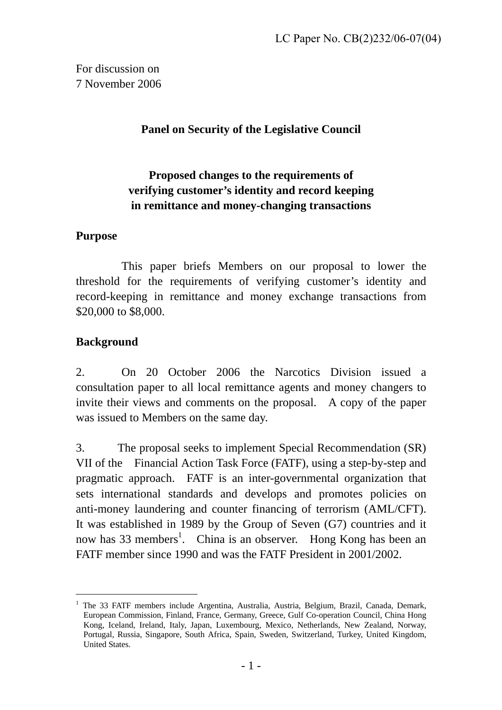For discussion on 7 November 2006

### **Panel on Security of the Legislative Council**

# **Proposed changes to the requirements of verifying customer's identity and record keeping in remittance and money-changing transactions**

#### **Purpose**

This paper briefs Members on our proposal to lower the threshold for the requirements of verifying customer's identity and record-keeping in remittance and money exchange transactions from \$20,000 to \$8,000.

### **Background**

2. On 20 October 2006 the Narcotics Division issued a consultation paper to all local remittance agents and money changers to invite their views and comments on the proposal. A copy of the paper was issued to Members on the same day.

3. The proposal seeks to implement Special Recommendation (SR) VII of the Financial Action Task Force (FATF), using a step-by-step and pragmatic approach. FATF is an inter-governmental organization that sets international standards and develops and promotes policies on anti-money laundering and counter financing of terrorism (AML/CFT). It was established in 1989 by the Group of Seven (G7) countries and it now has 33 members<sup>[1](#page-0-0)</sup>. China is an observer. Hong Kong has been an FATF member since 1990 and was the FATF President in 2001/2002.

<span id="page-0-0"></span><sup>1</sup> The 33 FATF members include Argentina, Australia, Austria, Belgium, Brazil, Canada, Demark, European Commission, Finland, France, Germany, Greece, Gulf Co-operation Council, China Hong Kong, Iceland, Ireland, Italy, Japan, Luxembourg, Mexico, Netherlands, New Zealand, Norway, Portugal, Russia, Singapore, South Africa, Spain, Sweden, Switzerland, Turkey, United Kingdom, United States.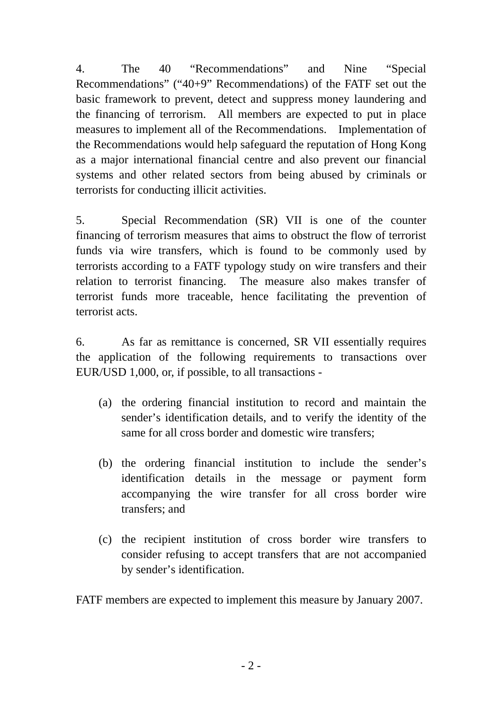4. The 40 "Recommendations" and Nine "Special Recommendations" ("40+9" Recommendations) of the FATF set out the basic framework to prevent, detect and suppress money laundering and the financing of terrorism. All members are expected to put in place measures to implement all of the Recommendations. Implementation of the Recommendations would help safeguard the reputation of Hong Kong as a major international financial centre and also prevent our financial systems and other related sectors from being abused by criminals or terrorists for conducting illicit activities.

5. Special Recommendation (SR) VII is one of the counter financing of terrorism measures that aims to obstruct the flow of terrorist funds via wire transfers, which is found to be commonly used by terrorists according to a FATF typology study on wire transfers and their relation to terrorist financing. The measure also makes transfer of terrorist funds more traceable, hence facilitating the prevention of terrorist acts.

6. As far as remittance is concerned, SR VII essentially requires the application of the following requirements to transactions over EUR/USD 1,000, or, if possible, to all transactions -

- (a) the ordering financial institution to record and maintain the sender's identification details, and to verify the identity of the same for all cross border and domestic wire transfers;
- (b) the ordering financial institution to include the sender's identification details in the message or payment form accompanying the wire transfer for all cross border wire transfers; and
- (c) the recipient institution of cross border wire transfers to consider refusing to accept transfers that are not accompanied by sender's identification.

FATF members are expected to implement this measure by January 2007.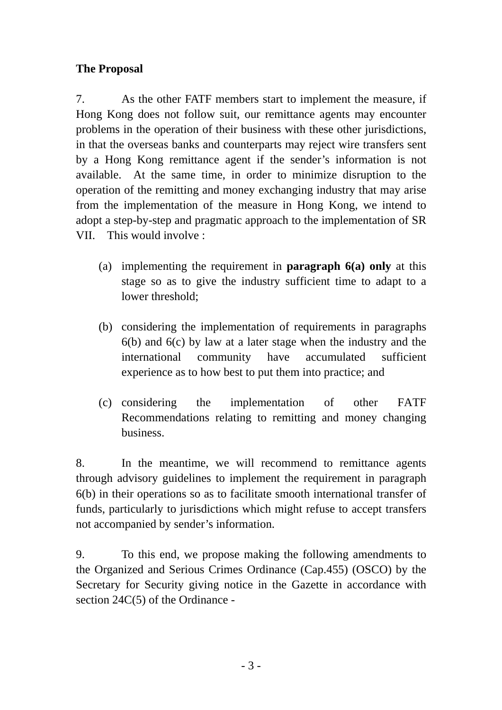# **The Proposal**

7. As the other FATF members start to implement the measure, if Hong Kong does not follow suit, our remittance agents may encounter problems in the operation of their business with these other jurisdictions, in that the overseas banks and counterparts may reject wire transfers sent by a Hong Kong remittance agent if the sender's information is not available. At the same time, in order to minimize disruption to the operation of the remitting and money exchanging industry that may arise from the implementation of the measure in Hong Kong, we intend to adopt a step-by-step and pragmatic approach to the implementation of SR VII. This would involve :

- (a) implementing the requirement in **paragraph 6(a) only** at this stage so as to give the industry sufficient time to adapt to a lower threshold;
- (b) considering the implementation of requirements in paragraphs 6(b) and 6(c) by law at a later stage when the industry and the international community have accumulated sufficient experience as to how best to put them into practice; and
- (c) considering the implementation of other FATF Recommendations relating to remitting and money changing business.

8. In the meantime, we will recommend to remittance agents through advisory guidelines to implement the requirement in paragraph 6(b) in their operations so as to facilitate smooth international transfer of funds, particularly to jurisdictions which might refuse to accept transfers not accompanied by sender's information.

9. To this end, we propose making the following amendments to the Organized and Serious Crimes Ordinance (Cap.455) (OSCO) by the Secretary for Security giving notice in the Gazette in accordance with section 24C(5) of the Ordinance -